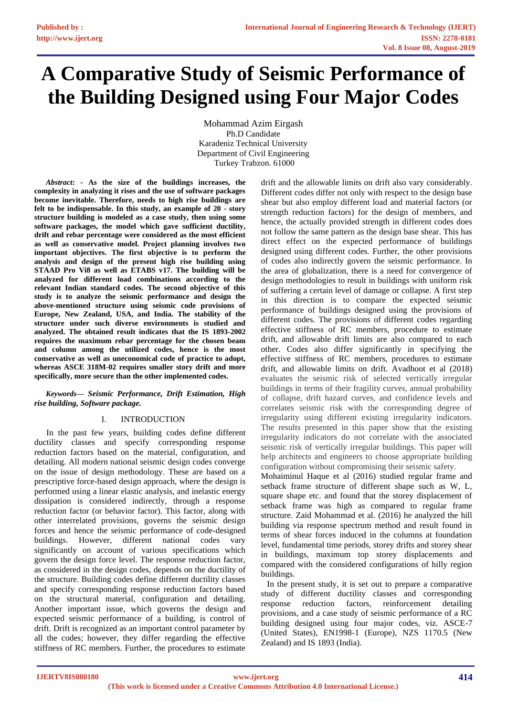# **A Comparative Study of Seismic Performance of the Building Designed using Four Major Codes**

Mohammad Azim Eirgash Ph.D Candidate Karadeniz Technical University Department of Civil Engineering Turkey Trabzon. 61000

*Abstract***: - As the size of the buildings increases, the complexity in analyzing it rises and the use of software packages become inevitable. Therefore, needs to high rise buildings are felt to be indispensable. In this study, an example of 20 - story structure building is modeled as a case study, then using some software packages, the model which gave sufficient ductility, drift and rebar percentage were considered as the most efficient as well as conservative model. Project planning involves two important objectives. The first objective is to perform the analysis and design of the present high rise building using STAAD Pro Vi8 as well as ETABS v17. The building will be analyzed for different load combinations according to the relevant Indian standard codes. The second objective of this study is to analyze the seismic performance and design the above-mentioned structure using seismic code provisions of Europe, New Zealand, USA, and India. The stability of the structure under such diverse environments is studied and analyzed. The obtained result indicates that the IS 1893-2002 requires the maximum rebar percentage for the chosen beam and column among the utilized codes, hence is the most conservative as well as uneconomical code of practice to adopt, whereas ASCE 318M-02 requires smaller story drift and more specifically, more secure than the other implemented codes.**

# *Keywords— Seismic Performance, Drift Estimation, High rise building, Software package.*

# I. INTRODUCTION

In the past few years, building codes define different ductility classes and specify corresponding response reduction factors based on the material, configuration, and detailing. All modern national seismic design codes converge on the issue of design methodology. These are based on a prescriptive force-based design approach, where the design is performed using a linear elastic analysis, and inelastic energy dissipation is considered indirectly, through a response reduction factor (or behavior factor). This factor, along with other interrelated provisions, governs the seismic design forces and hence the seismic performance of code-designed buildings. However, different national codes vary significantly on account of various specifications which govern the design force level. The response reduction factor, as considered in the design codes, depends on the ductility of the structure. Building codes define different ductility classes and specify corresponding response reduction factors based on the structural material, configuration and detailing. Another important issue, which governs the design and expected seismic performance of a building, is control of drift. Drift is recognized as an important control parameter by all the codes; however, they differ regarding the effective stiffness of RC members. Further, the procedures to estimate

drift and the allowable limits on drift also vary considerably. Different codes differ not only with respect to the design base shear but also employ different load and material factors (or strength reduction factors) for the design of members, and hence, the actually provided strength in different codes does not follow the same pattern as the design base shear. This has direct effect on the expected performance of buildings designed using different codes. Further, the other provisions of codes also indirectly govern the seismic performance. In the area of globalization, there is a need for convergence of design methodologies to result in buildings with uniform risk of suffering a certain level of damage or collapse. A first step in this direction is to compare the expected seismic performance of buildings designed using the provisions of different codes. The provisions of different codes regarding effective stiffness of RC members, procedure to estimate drift, and allowable drift limits are also compared to each other. Codes also differ significantly in specifying the effective stiffness of RC members, procedures to estimate drift, and allowable limits on drift. Avadhoot et al (2018) evaluates the seismic risk of selected vertically irregular buildings in terms of their fragility curves, annual probability of collapse, drift hazard curves, and confidence levels and correlates seismic risk with the corresponding degree of irregularity using different existing irregularity indicators. The results presented in this paper show that the existing irregularity indicators do not correlate with the associated seismic risk of vertically irregular buildings. This paper will help architects and engineers to choose appropriate building configuration without compromising their seismic safety.

Mohaiminul Haque et al (2016) studied regular frame and setback frame structure of different shape such as W, L, square shape etc. and found that the storey displacement of setback frame was high as compared to regular frame structure. Zaid Mohammad et al. (2016) he analyzed the hill building via response spectrum method and result found in terms of shear forces induced in the columns at foundation level, fundamental time periods, storey drifts and storey shear in buildings, maximum top storey displacements and compared with the considered configurations of hilly region buildings.

In the present study, it is set out to prepare a comparative study of different ductility classes and corresponding response reduction factors, reinforcement detailing provisions, and a case study of seismic performance of a RC building designed using four major codes, viz. ASCE-7 (United States), EN1998-1 (Europe), NZS 1170.5 (New Zealand) and IS 1893 (India).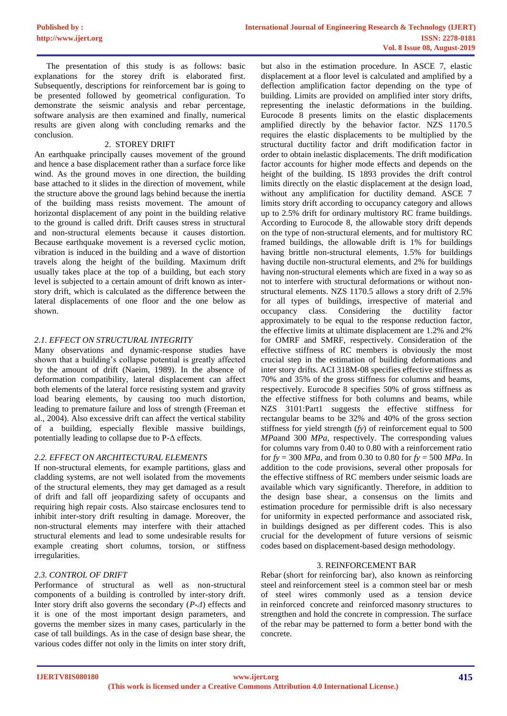The presentation of this study is as follows: basic explanations for the storey drift is elaborated first. Subsequently, descriptions for reinforcement bar is going to be presented followed by geometrical configuration. To demonstrate the seismic analysis and rebar percentage, software analysis are then examined and finally, numerical results are given along with concluding remarks and the conclusion.

# 2. STOREY DRIFT

An earthquake principally causes movement of the ground and hence a base displacement rather than a surface force like wind. As the ground moves in one direction, the building base attached to it slides in the direction of movement, while the structure above the ground lags behind because the inertia of the building mass resists movement. The amount of horizontal displacement of any point in the building relative to the ground is called drift. Drift causes stress in structural and non-structural elements because it causes distortion. Because earthquake movement is a reversed cyclic motion, vibration is induced in the building and a wave of distortion travels along the height of the building. Maximum drift usually takes place at the top of a building, but each story level is subjected to a certain amount of drift known as interstory drift, which is calculated as the difference between the lateral displacements of one floor and the one below as shown.

# *2.1. EFFECT ON STRUCTURAL INTEGRITY*

Many observations and dynamic-response studies have shown that a building's collapse potential is greatly affected by the amount of drift (Naeim, 1989). In the absence of deformation compatibility, lateral displacement can affect both elements of the lateral force resisting system and gravity load bearing elements, by causing too much distortion, leading to premature failure and loss of strength (Freeman et al., 2004). Also excessive drift can affect the vertical stability of a building, especially flexible massive buildings, potentially leading to collapse due to P-Δ effects.

# *2.2. EFFECT ON ARCHITECTURAL ELEMENTS*

If non-structural elements, for example partitions, glass and cladding systems, are not well isolated from the movements of the structural elements, they may get damaged as a result of drift and fall off jeopardizing safety of occupants and requiring high repair costs. Also staircase enclosures tend to inhibit inter-story drift resulting in damage. Moreover, the non-structural elements may interfere with their attached structural elements and lead to some undesirable results for example creating short columns, torsion, or stiffness irregularities.

# *2.3. CONTROL OF DRIFT*

Performance of structural as well as non-structural components of a building is controlled by inter-story drift. Inter story drift also governs the secondary (*P-Δ*) effects and it is one of the most important design parameters, and governs the member sizes in many cases, particularly in the case of tall buildings. As in the case of design base shear, the various codes differ not only in the limits on inter story drift,

but also in the estimation procedure. In ASCE 7, elastic displacement at a floor level is calculated and amplified by a deflection amplification factor depending on the type of building. Limits are provided on amplified inter story drifts, representing the inelastic deformations in the building. Eurocode 8 presents limits on the elastic displacements amplified directly by the behavior factor. NZS 1170.5 requires the elastic displacements to be multiplied by the structural ductility factor and drift modification factor in order to obtain inelastic displacements. The drift modification factor accounts for higher mode effects and depends on the height of the building. IS 1893 provides the drift control limits directly on the elastic displacement at the design load, without any amplification for ductility demand. ASCE 7 limits story drift according to occupancy category and allows up to 2.5% drift for ordinary multistory RC frame buildings. According to Eurocode 8, the allowable story drift depends on the type of non-structural elements, and for multistory RC framed buildings, the allowable drift is 1% for buildings having brittle non-structural elements, 1.5% for buildings having ductile non-structural elements, and 2% for buildings having non-structural elements which are fixed in a way so as not to interfere with structural deformations or without nonstructural elements. NZS 1170.5 allows a story drift of 2.5% for all types of buildings, irrespective of material and occupancy class. Considering the ductility factor approximately to be equal to the response reduction factor, the effective limits at ultimate displacement are 1.2% and 2% for OMRF and SMRF, respectively. Consideration of the effective stiffness of RC members is obviously the most crucial step in the estimation of building deformations and inter story drifts. ACI 318M-08 specifies effective stiffness as 70% and 35% of the gross stiffness for columns and beams, respectively. Eurocode 8 specifies 50% of gross stiffness as the effective stiffness for both columns and beams, while NZS 3101:Part1 suggests the effective stiffness for rectangular beams to be 32% and 40% of the gross section stiffness for yield strength (*fy*) of reinforcement equal to 500 *MPa*and 300 *MPa,* respectively. The corresponding values for columns vary from 0.40 to 0.80 with a reinforcement ratio for  $f_y = 300 \text{ MPa}$ , and from 0.30 to 0.80 for  $f_y = 500 \text{ MPa}$ . In addition to the code provisions, several other proposals for the effective stiffness of RC members under seismic loads are available which vary significantly. Therefore, in addition to the design base shear, a consensus on the limits and estimation procedure for permissible drift is also necessary for uniformity in expected performance and associated risk, in buildings designed as per different codes. This is also crucial for the development of future versions of seismic codes based on displacement-based design methodology.

## 3. REINFORCEMENT BAR

Rebar (short for reinforcing bar), also known as reinforcing steel and reinforcement steel is a common [steel](http://en.wikipedia.org/wiki/Steel) bar or mesh of steel wires commonly used as a tension device in [reinforced concrete](http://en.wikipedia.org/wiki/Reinforced_concrete) and reinforced [masonry](http://en.wikipedia.org/wiki/Masonry) structures to strengthen and hold the concrete in compression. The surface of the rebar may be patterned to form a better bond with the concrete.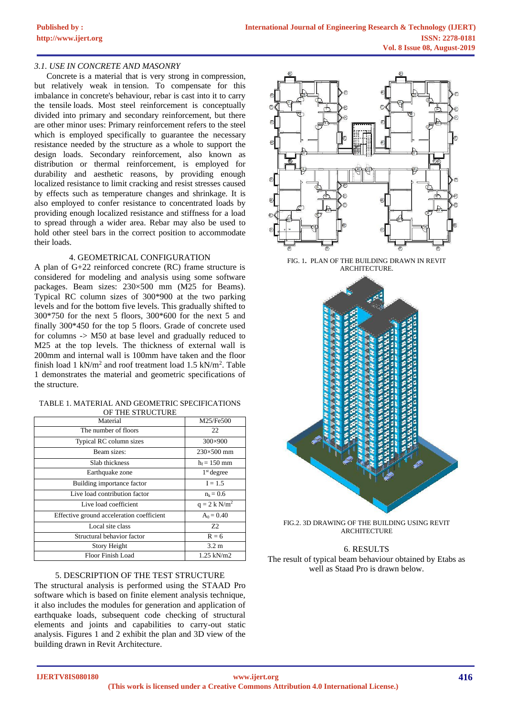# *3.1. USE IN CONCRETE AND MASONRY*

[Concrete](http://en.wikipedia.org/wiki/Concrete) is a material that is very strong in [compression,](http://en.wikipedia.org/wiki/Compression_(physical)) but relatively weak in [tension.](http://en.wikipedia.org/wiki/Tension_(mechanics)) To compensate for this imbalance in concrete's behaviour, rebar is cast into it to carry the tensile [loads.](http://en.wikipedia.org/wiki/Structural_load) Most steel reinforcement is conceptually divided into primary and secondary reinforcement, but there are other minor uses: Primary reinforcement refers to the steel which is employed specifically to guarantee the necessary resistance needed by the structure as a whole to support the design loads. Secondary reinforcement, also known as distribution or thermal reinforcement, is employed for durability and aesthetic reasons, by providing enough localized resistance to limit cracking and resist stresses caused by effects such as temperature changes and shrinkage. It is also employed to confer resistance to concentrated loads by providing enough localized resistance and stiffness for a load to spread through a wider area. Rebar may also be used to hold other steel bars in the correct position to accommodate their loads.

## 4. GEOMETRICAL CONFIGURATION

A plan of G+22 reinforced concrete (RC) frame structure is considered for modeling and analysis using some software packages. Beam sizes: 230×500 mm (M25 for Beams). Typical RC column sizes of 300\*900 at the two parking levels and for the bottom five levels. This gradually shifted to 300\*750 for the next 5 floors, 300\*600 for the next 5 and finally 300\*450 for the top 5 floors. Grade of concrete used for columns -> M50 at base level and gradually reduced to M25 at the top levels. The thickness of external wall is 200mm and internal wall is 100mm have taken and the floor finish load  $1 \text{ kN/m}^2$  and roof treatment load  $1.5 \text{ kN/m}^2$ . Table 1 demonstrates the material and geometric specifications of the structure.

| TABLE 1. MATERIAL AND GEOMETRIC SPECIFICATIONS |
|------------------------------------------------|
| OF THE STRUCTURE                               |

| of the street call                        |                   |  |  |  |  |
|-------------------------------------------|-------------------|--|--|--|--|
| Material                                  | M25/Fe500         |  |  |  |  |
| The number of floors                      | 22                |  |  |  |  |
| Typical RC column sizes                   | $300\times900$    |  |  |  |  |
| Beam sizes:                               | $230\times500$ mm |  |  |  |  |
| Slab thickness                            | $h_f = 150$ mm    |  |  |  |  |
| Earthquake zone                           | $1st$ degree      |  |  |  |  |
| Building importance factor                | $I = 1.5$         |  |  |  |  |
| Live load contribution factor             | $n_k = 0.6$       |  |  |  |  |
| Live load coefficient                     | $q = 2 k N/m^2$   |  |  |  |  |
| Effective ground acceleration coefficient | $A_0 = 0.40$      |  |  |  |  |
| Local site class                          | Z <sub>2</sub>    |  |  |  |  |
| Structural behavior factor                | $R = 6$           |  |  |  |  |
| Story Height                              | $3.2 \text{ m}$   |  |  |  |  |
| Floor Finish Load                         | $1.25$ kN/m2      |  |  |  |  |

## 5. DESCRIPTION OF THE TEST STRUCTURE

The structural analysis is performed using the STAAD Pro software which is based on finite element analysis technique, it also includes the modules for generation and application of earthquake loads, subsequent code checking of structural elements and joints and capabilities to carry-out static analysis. Figures 1 and 2 exhibit the plan and 3D view of the building drawn in Revit Architecture.



FIG. 1**.** PLAN OF THE BUILDING DRAWN IN REVIT ARCHITECTURE.



FIG.2. 3D DRAWING OF THE BUILDING USING REVIT **ARCHITECTURE** 

6. RESULTS The result of typical beam behaviour obtained by Etabs as well as Staad Pro is drawn below.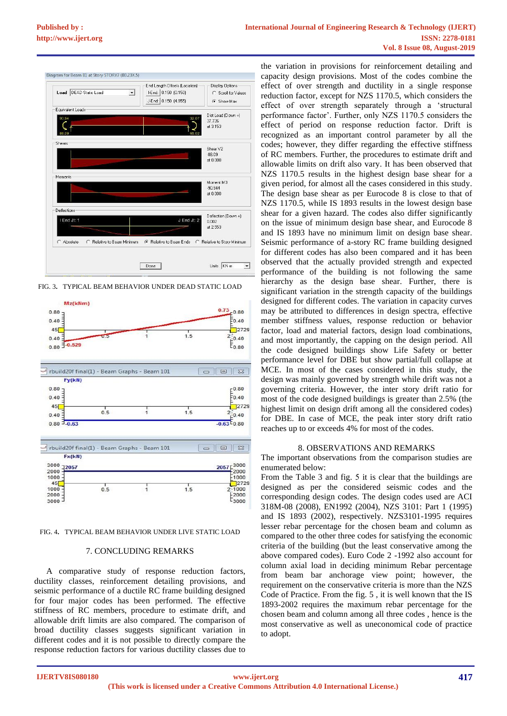

FIG. 3**.** TYPICAL BEAM BEHAVIOR UNDER DEAD STATIC LOAD





#### 7. CONCLUDING REMARKS

A comparative study of response reduction factors, ductility classes, reinforcement detailing provisions, and seismic performance of a ductile RC frame building designed for four major codes has been performed. The effective stiffness of RC members, procedure to estimate drift, and allowable drift limits are also compared. The comparison of broad ductility classes suggests significant variation in different codes and it is not possible to directly compare the response reduction factors for various ductility classes due to

the variation in provisions for reinforcement detailing and capacity design provisions. Most of the codes combine the effect of over strength and ductility in a single response reduction factor, except for NZS 1170.5, which considers the effect of over strength separately through a 'structural performance factor'. Further, only NZS 1170.5 considers the effect of period on response reduction factor. Drift is recognized as an important control parameter by all the codes; however, they differ regarding the effective stiffness of RC members. Further, the procedures to estimate drift and allowable limits on drift also vary. It has been observed that NZS 1170.5 results in the highest design base shear for a given period, for almost all the cases considered in this study. The design base shear as per Eurocode 8 is close to that of NZS 1170.5, while IS 1893 results in the lowest design base shear for a given hazard. The codes also differ significantly on the issue of minimum design base shear, and Eurocode 8 and IS 1893 have no minimum limit on design base shear. Seismic performance of a-story RC frame building designed for different codes has also been compared and it has been observed that the actually provided strength and expected performance of the building is not following the same hierarchy as the design base shear. Further, there is significant variation in the strength capacity of the buildings designed for different codes. The variation in capacity curves may be attributed to differences in design spectra, effective member stiffness values, response reduction or behavior factor, load and material factors, design load combinations, and most importantly, the capping on the design period. All the code designed buildings show Life Safety or better performance level for DBE but show partial/full collapse at MCE. In most of the cases considered in this study, the design was mainly governed by strength while drift was not a governing criteria. However, the inter story drift ratio for most of the code designed buildings is greater than 2.5% (the highest limit on design drift among all the considered codes) for DBE. In case of MCE, the peak inter story drift ratio reaches up to or exceeds 4% for most of the codes.

#### 8. OBSERVATIONS AND REMARKS

The important observations from the comparison studies are enumerated below:

From the Table 3 and fig. 5 it is clear that the buildings are designed as per the considered seismic codes and the corresponding design codes. The design codes used are ACI 318M-08 (2008), EN1992 (2004), NZS 3101: Part 1 (1995) and IS 1893 (2002), respectively. NZS3101-1995 requires lesser rebar percentage for the chosen beam and column as compared to the other three codes for satisfying the economic criteria of the building (but the least conservative among the above compared codes). Euro Code 2 -1992 also account for column axial load in deciding minimum Rebar percentage from beam bar anchorage view point; however, the requirement on the conservative criteria is more than the NZS Code of Practice. From the fig. 5 , it is well known that the IS 1893-2002 requires the maximum rebar percentage for the chosen beam and column among all three codes , hence is the most conservative as well as uneconomical code of practice to adopt.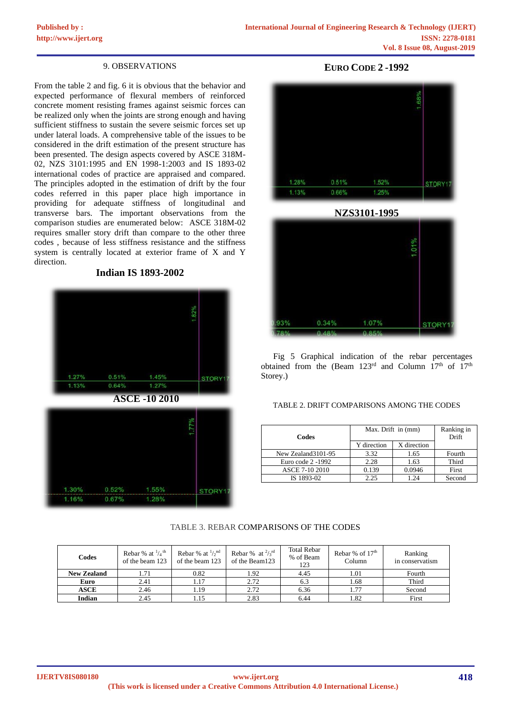## 9. OBSERVATIONS

From the table 2 and fig. 6 it is obvious that the behavior and expected performance of flexural members of reinforced concrete moment resisting frames against seismic forces can be realized only when the joints are strong enough and having sufficient stiffness to sustain the severe seismic forces set up under lateral loads. A comprehensive table of the issues to be considered in the drift estimation of the present structure has been presented. The design aspects covered by ASCE 318M-02, NZS 3101:1995 and EN 1998-1:2003 and IS 1893-02 international codes of practice are appraised and compared. The principles adopted in the estimation of drift by the four codes referred in this paper place high importance in providing for adequate stiffness of longitudinal and transverse bars. The important observations from the comparison studies are enumerated below: ASCE 318M-02 requires smaller story drift than compare to the other three codes , because of less stiffness resistance and the stiffness system is centrally located at exterior frame of X and Y direction.

**Indian IS 1893-2002**



# **EURO CODE 2 -1992**



**NZS3101-1995**



Fig 5 Graphical indication of the rebar percentages obtained from the (Beam  $123^{\text{rd}}$  and Column  $17^{\text{th}}$  of  $17^{\text{th}}$ Storey.)

## TABLE 2. DRIFT COMPARISONS AMONG THE CODES

| Codes               | Max. Drift in (mm) | Ranking in<br>Drift |        |
|---------------------|--------------------|---------------------|--------|
|                     | Y direction        | X direction         |        |
| New Zealand 3101-95 | 3.32               | 1.65                | Fourth |
| Euro code 2 -1992   | 2.28               | 1.63                | Third  |
| ASCE 7-10 2010      | 0.139              | 0.0946              | First  |
| IS 1893-02          | 2.25               | 1.24                | Second |

## TABLE 3. REBAR COMPARISONS OF THE CODES

| Codes              | Rebar % at $\frac{1}{4}$ <sup>th</sup><br>of the beam 123 | Rebar % at $\frac{1}{2}$ <sup>nd</sup><br>of the beam 123 | Rebar % at $\frac{2}{3}$ <sup>rd</sup><br>of the Beam123 | <b>Total Rebar</b><br>% of Beam<br>123 | Rebar % of $17th$<br>Column | Ranking<br>in conservatism |
|--------------------|-----------------------------------------------------------|-----------------------------------------------------------|----------------------------------------------------------|----------------------------------------|-----------------------------|----------------------------|
| <b>New Zealand</b> | 1.71                                                      | 0.82                                                      | 1.92                                                     | 4.45                                   | 1.01                        | Fourth                     |
| Euro               | 2.41                                                      | 1.17                                                      | 2.72                                                     | 6.3                                    | 1.68                        | Third                      |
| <b>ASCE</b>        | 2.46                                                      | 1.19                                                      | 2.72                                                     | 6.36                                   | 1.77                        | Second                     |
| <b>Indian</b>      | 2.45                                                      | 1.15                                                      | 2.83                                                     | 6.44                                   | 1.82                        | First                      |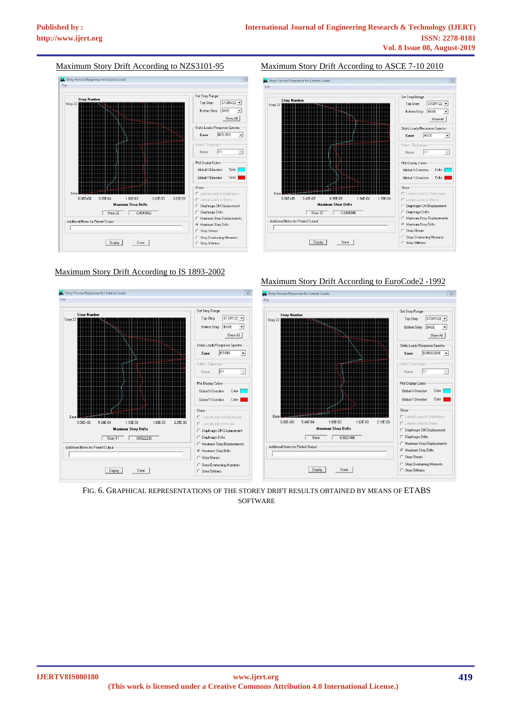# Maximum Story Drift According to NZS3101-95



## Maximum Story Drift According to IS 1893-2002

## Maximum Story Drift According to ASCE 7-10 2010



### Maximum Story Drift According to EuroCode2 -1992



FIG. 6. GRAPHICAL REPRESENTATIONS OF THE STOREY DRIFT RESULTS OBTAINED BY MEANS OF ETABS **SOFTWARE**